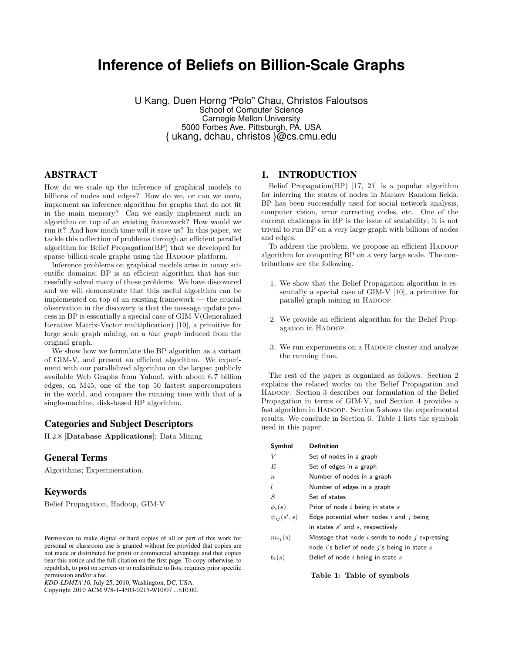# **Inference of Beliefs on Billion-Scale Graphs**

U Kang, Duen Horng "Polo" Chau, Christos Faloutsos School of Computer Science Carnegie Mellon University 5000 Forbes Ave. Pittsburgh, PA, USA { ukang, dchau, christos }@cs.cmu.edu

# ABSTRACT

How do we scale up the inference of graphical models to billions of nodes and edges? How do we, or can we even, implement an inference algorithm for graphs that do not fit in the main memory? Can we easily implement such an algorithm on top of an existing framework? How would we run it? And how much time will it save us? In this paper, we tackle this collection of problems through an efficient parallel algorithm for Belief Propagation(BP) that we developed for sparse billion-scale graphs using the HADOOP platform.

Inference problems on graphical models arise in many scientific domains; BP is an efficient algorithm that has successfully solved many of those problems. We have discovered and we will demonstrate that this useful algorithm can be implemented on top of an existing framework — the crucial observation in the discovery is that the message update process in BP is essentially a special case of GIM-V(Generalized Iterative Matrix-Vector multiplication) [10], a primitive for large scale graph mining, on a line graph induced from the original graph.

We show how we formulate the BP algorithm as a variant of GIM-V, and present an efficient algorithm. We experiment with our parallelized algorithm on the largest publicly available Web Graphs from Yahoo!, with about 6.7 billion edges, on M45, one of the top 50 fastest supercomputers in the world, and compare the running time with that of a single-machine, disk-based BP algorithm.

# Categories and Subject Descriptors

H.2.8 [Database Applications]: Data Mining

# General Terms

Algorithms; Experimentation.

# Keywords

Belief Propagation, Hadoop, GIM-V

Copyright 2010 ACM 978-1-4503-0215-9/10/07 ...\$10.00.

# 1. INTRODUCTION

Belief Propagation(BP) [17, 21] is a popular algorithm for inferring the states of nodes in Markov Random fields. BP has been successfully used for social network analysis, computer vision, error correcting codes, etc. One of the current challenges in BP is the issue of scalability; it is not trivial to run BP on a very large graph with billions of nodes and edges.

To address the problem, we propose an efficient HADOOP algorithm for computing BP on a very large scale. The contributions are the following.

- 1. We show that the Belief Propagation algorithm is essentially a special case of GIM-V [10], a primitive for parallel graph mining in HADOOP.
- 2. We provide an efficient algorithm for the Belief Propagation in HADOOP.
- 3. We run experiments on a HADOOP cluster and analyze the running time.

The rest of the paper is organized as follows. Section 2 explains the related works on the Belief Propagation and Hadoop. Section 3 describes our formulation of the Belief Propagation in terms of GIM-V, and Section 4 provides a fast algorithm in HADOOP. Section 5 shows the experimental results. We conclude in Section 6. Table 1 lists the symbols used in this paper.

| Symbol            | <b>Definition</b>                              |
|-------------------|------------------------------------------------|
| V                 | Set of nodes in a graph                        |
| E                 | Set of edges in a graph                        |
| $\boldsymbol{n}$  | Number of nodes in a graph                     |
| l                 | Number of edges in a graph                     |
| S                 | Set of states                                  |
| $\phi_i(s)$       | Prior of node $i$ being in state $s$           |
| $\psi_{ij}(s',s)$ | Edge potential when nodes i and j being        |
|                   | in states $s'$ and $s$ , respectively          |
| $m_{i,i}(s)$      | Message that node i sends to node j expressing |
|                   | node i's belief of node j's being in state $s$ |
| $b_i(s)$          | Belief of node $i$ being in state $s$          |

Table 1: Table of symbols

Permission to make digital or hard copies of all or part of this work for personal or classroom use is granted without fee provided that copies are not made or distributed for profit or commercial advantage and that copies bear this notice and the full citation on the first page. To copy otherwise, to republish, to post on servers or to redistribute to lists, requires prior specific permission and/or a fee.

*KDD-LDMTA'10,* July 25, 2010, Washington, DC, USA.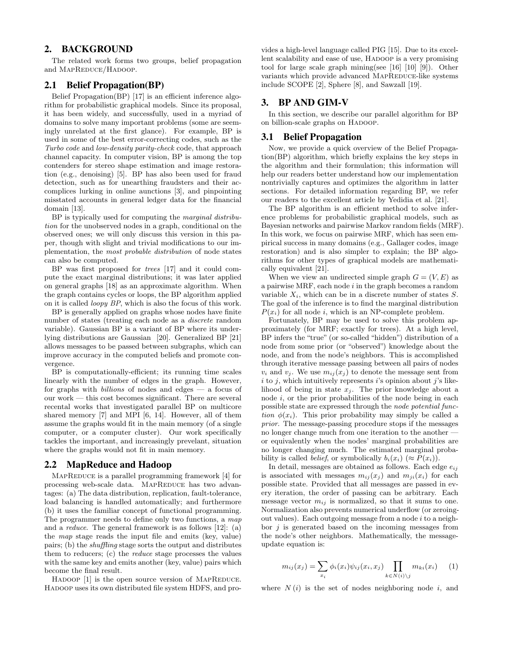# 2. BACKGROUND

The related work forms two groups, belief propagation and MAPREDUCE/HADOOP.

## 2.1 Belief Propagation(BP)

Belief Propagation(BP) [17] is an efficient inference algorithm for probabilistic graphical models. Since its proposal, it has been widely, and successfully, used in a myriad of domains to solve many important problems (some are seemingly unrelated at the first glance). For example, BP is used in some of the best error-correcting codes, such as the Turbo code and low-density parity-check code, that approach channel capacity. In computer vision, BP is among the top contenders for stereo shape estimation and image restoration (e.g., denoising) [5]. BP has also been used for fraud detection, such as for unearthing fraudsters and their accomplices lurking in online aunctions [3], and pinpointing misstated accounts in general ledger data for the financial domain [13].

BP is typically used for computing the marginal distribution for the unobserved nodes in a graph, conditional on the observed ones; we will only discuss this version in this paper, though with slight and trivial modifications to our implementation, the most probable distribution of node states can also be computed.

BP was first proposed for trees [17] and it could compute the exact marginal distributions; it was later applied on general graphs [18] as an approximate algorithm. When the graph contains cycles or loops, the BP algorithm applied on it is called loopy BP, which is also the focus of this work.

BP is generally applied on graphs whose nodes have finite number of states (treating each node as a discrete random variable). Gaussian BP is a variant of BP where its underlying distributions are Gaussian [20]. Generalized BP [21] allows messages to be passed between subgraphs, which can improve accuracy in the computed beliefs and promote convergence.

BP is computationally-efficient; its running time scales linearly with the number of edges in the graph. However, for graphs with billions of nodes and edges — a focus of our work — this cost becomes significant. There are several recental works that investigated parallel BP on multicore shared memory [7] and MPI [6, 14]. However, all of them assume the graphs would fit in the main memory (of a single computer, or a computer cluster). Our work specifically tackles the important, and increasingly prevelant, situation where the graphs would not fit in main memory.

#### 2.2 MapReduce and Hadoop

MAPREDUCE is a parallel programming framework [4] for processing web-scale data. MAPREDUCE has two advantages: (a) The data distribution, replication, fault-tolerance, load balancing is handled automatically; and furthermore (b) it uses the familiar concept of functional programming. The programmer needs to define only two functions, a map and a reduce. The general framework is as follows [12]: (a) the map stage reads the input file and emits (key, value) pairs; (b) the shuffling stage sorts the output and distributes them to reducers; (c) the reduce stage processes the values with the same key and emits another (key, value) pairs which become the final result.

HADOOP [1] is the open source version of MAPREDUCE. Hadoop uses its own distributed file system HDFS, and provides a high-level language called PIG [15]. Due to its excellent scalability and ease of use, HADOOP is a very promising tool for large scale graph mining(see [16] [10] [9]). Other variants which provide advanced MAPREDUCE-like systems include SCOPE [2], Sphere [8], and Sawzall [19].

# 3. BP AND GIM-V

In this section, we describe our parallel algorithm for BP on billion-scale graphs on HADOOP.

#### 3.1 Belief Propagation

Now, we provide a quick overview of the Belief Propagation(BP) algorithm, which briefly explains the key steps in the algorithm and their formulation; this information will help our readers better understand how our implementation nontrivially captures and optimizes the algorithm in latter sections. For detailed information regarding BP, we refer our readers to the excellent article by Yedidia et al. [21].

The BP algorithm is an efficient method to solve inference problems for probabilistic graphical models, such as Bayesian networks and pairwise Markov random fields (MRF). In this work, we focus on pairwise MRF, which has seen empirical success in many domains (e.g., Gallager codes, image restoration) and is also simpler to explain; the BP algorithms for other types of graphical models are mathematically equivalent [21].

When we view an undirected simple graph  $G = (V, E)$  as a pairwise MRF, each node  $i$  in the graph becomes a random variable  $X_i$ , which can be in a discrete number of states  $S$ . The goal of the inference is to find the marginal distribution  $P(x_i)$  for all node i, which is an NP-complete problem.

Fortunately, BP may be used to solve this problem approximately (for MRF; exactly for trees). At a high level, BP infers the "true" (or so-called "hidden") distribution of a node from some prior (or "observed") knowledge about the node, and from the node's neighbors. This is accomplished through iterative message passing between all pairs of nodes  $v_i$  and  $v_j$ . We use  $m_{ij}(x_j)$  to denote the message sent from  $i$  to j, which intuitively represents i's opinion about j's likelihood of being in state  $x_j$ . The prior knowledge about a node  $i$ , or the prior probabilities of the node being in each possible state are expressed through the node potential function  $\phi(x_i)$ . This prior probability may simply be called a prior. The message-passing procedure stops if the messages no longer change much from one iteration to the another – or equivalently when the nodes' marginal probabilities are no longer changing much. The estimated marginal probability is called *belief*, or symbolically  $b_i(x_i)$  ( $\approx P(x_i)$ ).

In detail, messages are obtained as follows. Each edge  $e_{ij}$ is associated with messages  $m_{ij}(x_i)$  and  $m_{ji}(x_i)$  for each possible state. Provided that all messages are passed in every iteration, the order of passing can be arbitrary. Each message vector  $m_{ij}$  is normalized, so that it sums to one. Normalization also prevents numerical underflow (or zeroingout values). Each outgoing message from a node  $i$  to a neighbor  $j$  is generated based on the incoming messages from the node's other neighbors. Mathematically, the messageupdate equation is:

$$
m_{ij}(x_j) = \sum_{x_i} \phi_i(x_i) \psi_{ij}(x_i, x_j) \prod_{k \in N(i) \setminus j} m_{ki}(x_i) \qquad (1)
$$

where  $N(i)$  is the set of nodes neighboring node i, and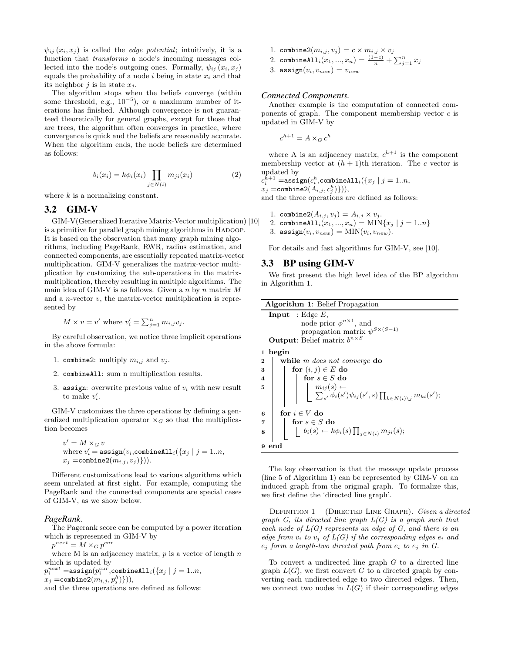$\psi_{ij}(x_i, x_j)$  is called the *edge potential*; intuitively, it is a function that transforms a node's incoming messages collected into the node's outgoing ones. Formally,  $\psi_{ij}(x_i, x_j)$ equals the probability of a node i being in state  $x_i$  and that its neighbor  $j$  is in state  $x_j$ .

The algorithm stops when the beliefs converge (within some threshold, e.g.,  $10^{-5}$ ), or a maximum number of iterations has finished. Although convergence is not guaranteed theoretically for general graphs, except for those that are trees, the algorithm often converges in practice, where convergence is quick and the beliefs are reasonably accurate. When the algorithm ends, the node beliefs are determined as follows:

$$
b_i(x_i) = k\phi_i(x_i) \prod_{j \in N(i)} m_{ji}(x_i)
$$
 (2)

where  $k$  is a normalizing constant.

## 3.2 GIM-V

GIM-V(Generalized Iterative Matrix-Vector multiplication) [10] is a primitive for parallel graph mining algorithms in HADOOP. It is based on the observation that many graph mining algorithms, including PageRank, RWR, radius estimation, and connected components, are essentially repeated matrix-vector multiplication. GIM-V generalizes the matrix-vector multiplication by customizing the sub-operations in the matrixmultiplication, thereby resulting in multiple algorithms. The main idea of GIM-V is as follows. Given a  $n$  by  $n$  matrix  $M$ and a *n*-vector  $v$ , the matrix-vector multiplication is represented by

$$
M \times v = v'
$$
 where  $v'_i = \sum_{j=1}^n m_{i,j} v_j$ .

By careful observation, we notice three implicit operations in the above formula:

- 1. combine2: multiply  $m_{i,j}$  and  $v_j$ .
- 2. combineAll: sum n multiplication results.
- 3. assign: overwrite previous value of  $v_i$  with new result to make  $v_i'$ .

GIM-V customizes the three operations by defining a generalized multiplication operator  $\times_G$  so that the multiplication becomes

$$
v' = M \times_G v
$$
  
where  $v'_i = \text{assign}(v_i, \text{combineAll}_i(\{x_j \mid j = 1..n, x_j = \text{combine2}(m_{i,j}, v_j)\})).$ 

Different customizations lead to various algorithms which seem unrelated at first sight. For example, computing the PageRank and the connected components are special cases of GIM-V, as we show below.

#### *PageRank.*

The Pagerank score can be computed by a power iteration which is represented in GIM-V by

 $p^{next} = M \times_G p^{cur}$ 

where M is an adjacency matrix,  $p$  is a vector of length  $n$ which is updated by

 $p_{i}^{next} =$ assign $(p_{i}^{cur},$ combineAll $_{i}(\{x_{j} \mid j=1..n,$ 

 $x_j =$ combine2 $(m_{i,j}, p_j^h)\}),$ 

and the three operations are defined as follows:

- 1. combine2 $(m_{i,j}, v_j) = c \times m_{i,j} \times v_j$
- 2. combine $\mathtt{All}_i(x_1,...,x_n)=\frac{(1-c)}{n}+\sum_{j=1}^nx_j$

3. assign $(v_i, v_{new}) = v_{new}$ 

#### *Connected Components.*

Another example is the computation of connected components of graph. The component membership vector  $c$  is updated in GIM-V by

 $c^{h+1} = A \times_G c^h$ 

where A is an adjacency matrix,  $c^{h+1}$  is the component membership vector at  $(h + 1)$ th iteration. The c vector is updated by

 $c_i^{\bar{h}+1} =$ assign $(c_i^h,$ combineAll $_i(\{x_j \mid j = 1..n,$  $x_j =$ combine2 $(A_{i,j}, c_j^h)\}),$ 

and the three operations are defined as follows:

1. combine2
$$
(A_{i,j}, v_j) = A_{i,j} \times v_j
$$
. 2. combineAll $_i(x_1, ..., x_n) = \text{MIN}\{x_j \mid j = 1..n\}$ . 3. assign $(v_i, v_{new}) = \text{MIN}(v_i, v_{new})$ .

For details and fast algorithms for GIM-V, see [10].

#### 3.3 BP using GIM-V

We first present the high level idea of the BP algorithm in Algorithm 1.

| <b>Algorithm 1:</b> Belief Propagation                                                                                                                                                                                                 |  |
|----------------------------------------------------------------------------------------------------------------------------------------------------------------------------------------------------------------------------------------|--|
| <b>Input</b> : Edge $E$ ,<br>node prior $\phi^{n \times 1}$ , and<br>propagation matrix $\boldsymbol{\psi}^{S \times (S-1)}$<br><b>Output:</b> Belief matrix $b^{n \times S}$                                                          |  |
| begin<br>1                                                                                                                                                                                                                             |  |
| while $m$ does not converge do<br>$\bf{2}$                                                                                                                                                                                             |  |
| for $(i, j) \in E$ do<br>3                                                                                                                                                                                                             |  |
| $\overline{4}$                                                                                                                                                                                                                         |  |
| 5                                                                                                                                                                                                                                      |  |
| $\begin{array}{c}\n\begin{array}{c}\n\text{for } s \in S \text{ do} \\ \begin{array}{c}\n\text{for } s \in S \text{ do} \\ \sum_{s'} \phi_i(s') \psi_{ij}(s', s) \prod_{k \in N(i) \setminus j} m_{ki}(s');\n\end{array}\n\end{array}$ |  |
| for $i \in V$ do<br>6                                                                                                                                                                                                                  |  |
| $\overline{\mathbf{7}}$                                                                                                                                                                                                                |  |
| $\begin{array}{ c c } \hline & \textbf{for } s \in S \textbf{ do} \\ & & b_i(s) \leftarrow k \phi_i(s) \prod_{j \in N(i)} m_{ji}(s); \hline \end{array}$<br>8                                                                          |  |
| end<br>9                                                                                                                                                                                                                               |  |

The key observation is that the message update process (line 5 of Algorithm 1) can be represented by GIM-V on an induced graph from the original graph. To formalize this, we first define the 'directed line graph'.

DEFINITION 1 (DIRECTED LINE GRAPH). Given a directed graph  $G$ , its directed line graph  $L(G)$  is a graph such that each node of  $L(G)$  represents an edge of  $G$ , and there is an edge from  $v_i$  to  $v_j$  of  $L(G)$  if the corresponding edges  $e_i$  and  $e_i$  form a length-two directed path from  $e_i$  to  $e_i$  in G.

To convert a undirected line graph  $G$  to a directed line graph  $L(G)$ , we first convert G to a directed graph by converting each undirected edge to two directed edges. Then, we connect two nodes in  $L(G)$  if their corresponding edges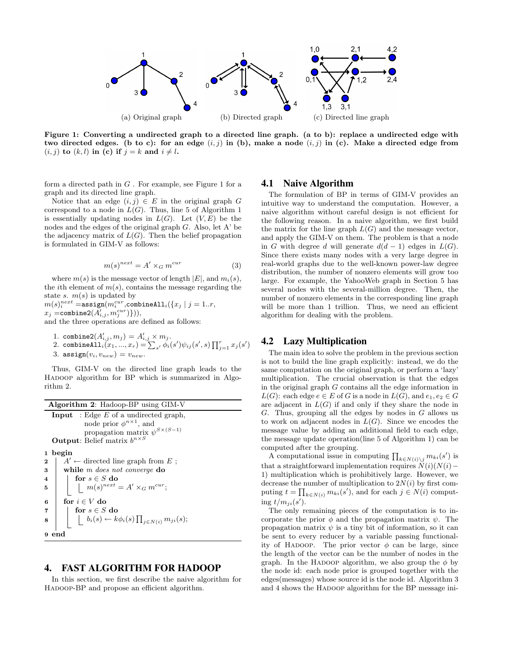

Figure 1: Converting a undirected graph to a directed line graph. (a to b): replace a undirected edge with two directed edges. (b to c): for an edge  $(i, j)$  in (b), make a node  $(i, j)$  in (c). Make a directed edge from  $(i, j)$  to  $(k, l)$  in (c) if  $j = k$  and  $i \neq l$ .

form a directed path in  $G$ . For example, see Figure 1 for a graph and its directed line graph.

Notice that an edge  $(i, j) \in E$  in the original graph G correspond to a node in  $L(G)$ . Thus, line 5 of Algorithm 1 is essentially updating nodes in  $L(G)$ . Let  $(V, E)$  be the nodes and the edges of the original graph G. Also, let A' be the adjacency matrix of  $L(G)$ . Then the belief propagation is formulated in GIM-V as follows:

$$
m(s)^{next} = A' \times_G m^{cur} \tag{3}
$$

where  $m(s)$  is the message vector of length  $|E|$ , and  $m_i(s)$ , the *i*th element of  $m(s)$ , contains the message regarding the state s.  $m(s)$  is updated by

 $m(s)_i^{next} =$ assign $(m_i^{cur},$ combineAll $_i(\{x_j \mid j = 1..r,$  $x_j =$ combine2 $(\tilde{A'_{i,j}}, m^{cur}_{j})\})),$ 

and the three operations are defined as follows:

1. combine $2(A'_{i,j}, m_j) = A'_{i,j} \times m_j$ . 2. combineAll $i(x_1,...,x_r) = \sum_{s'} \phi_i(s') \psi_{ij}(s',s) \prod_{j=1}^r x_j(s')$ 3. assign $(v_i, v_{new}) = v_{new}.$ 

Thus, GIM-V on the directed line graph leads to the Hadoop algorithm for BP which is summarized in Algorithm 2.

| <b>Algorithm 2:</b> Hadoop-BP using GIM-V                                                                                                                                            |  |
|--------------------------------------------------------------------------------------------------------------------------------------------------------------------------------------|--|
| <b>Input</b> : Edge $E$ of a undirected graph,<br>node prior $\phi^{n\times 1}$ , and<br>propagation matrix $\psi^{S \times (S-1)}$<br><b>Output:</b> Belief matrix $b^{n \times S}$ |  |
| 1 begin                                                                                                                                                                              |  |
| $A' \leftarrow$ directed line graph from E;<br>$\bf{2}$                                                                                                                              |  |
| while m does not converge do<br>3                                                                                                                                                    |  |
| for $s \in S$ do<br>$\overline{4}$                                                                                                                                                   |  |
| $\left  m(s)^{next} = A' \times_G m^{cur};\right.$<br>5                                                                                                                              |  |
| for $i \in V$ do<br>6                                                                                                                                                                |  |
| for $s \in S$ do<br>7                                                                                                                                                                |  |
| $\begin{array}{c} \begin{array}{c} \end{array} b_i(s) \leftarrow k\phi_i(s) \prod_{j \in N(i)} m_{ji}(s); \end{array}$<br>8                                                          |  |
| end<br>9                                                                                                                                                                             |  |

## 4. FAST ALGORITHM FOR HADOOP

In this section, we first describe the naive algorithm for Hadoop-BP and propose an efficient algorithm.

#### 4.1 Naive Algorithm

The formulation of BP in terms of GIM-V provides an intuitive way to understand the computation. However, a naive algorithm without careful design is not efficient for the following reason. In a naive algorithm, we first build the matrix for the line graph  $L(G)$  and the message vector, and apply the GIM-V on them. The problem is that a node in G with degree d will generate  $d(d-1)$  edges in  $L(G)$ . Since there exists many nodes with a very large degree in real-world graphs due to the well-known power-law degree distribution, the number of nonzero elements will grow too large. For example, the YahooWeb graph in Section 5 has several nodes with the several-million degree. Then, the number of nonzero elements in the corresponding line graph will be more than 1 trillion. Thus, we need an efficient algorithm for dealing with the problem.

# 4.2 Lazy Multiplication

The main idea to solve the problem in the previous section is not to build the line graph explicitly: instead, we do the same computation on the original graph, or perform a 'lazy' multiplication. The crucial observation is that the edges in the original graph  $G$  contains all the edge information in  $L(G)$ : each edge  $e \in E$  of G is a node in  $L(G)$ , and  $e_1, e_2 \in G$ are adjacent in  $L(G)$  if and only if they share the node in G. Thus, grouping all the edges by nodes in G allows us to work on adjacent nodes in  $L(G)$ . Since we encodes the message value by adding an additional field to each edge, the message update operation(line 5 of Algorithm 1) can be computed after the grouping.

A computational issue in computing  $\prod_{k \in N(i) \setminus j} m_{ki}(s')$  is that a straightforward implementation requires  $N(i)(N(i)$ − 1) multiplication which is prohibitively large. However, we decrease the number of multiplication to  $2N(i)$  by first computing  $t = \prod_{k \in N(i)} m_{ki}(s')$ , and for each  $j \in N(i)$  computing  $t/m_{ji}(s')$ .

The only remaining pieces of the computation is to incorporate the prior  $\phi$  and the propagation matrix  $\psi$ . The propagation matrix  $\psi$  is a tiny bit of information, so it can be sent to every reducer by a variable passing functionality of HADOOP. The prior vector  $\phi$  can be large, since the length of the vector can be the number of nodes in the graph. In the HADOOP algorithm, we also group the  $\phi$  by the node id: each node prior is grouped together with the edges(messages) whose source id is the node id. Algorithm 3 and 4 shows the HADOOP algorithm for the BP message ini-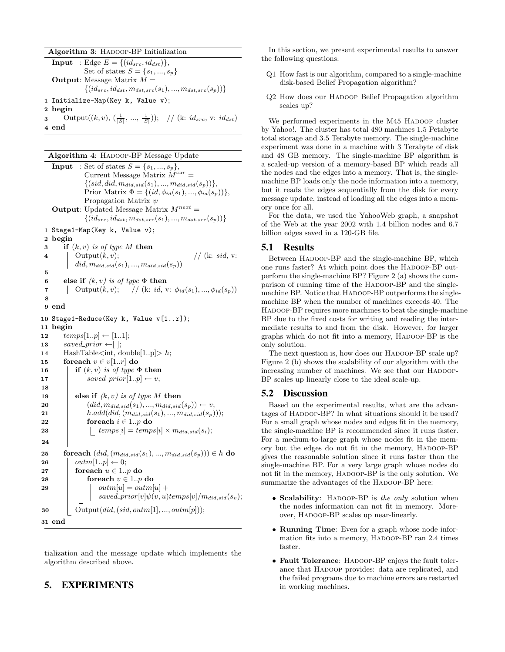#### Algorithm 3: HADOOP-BP Initialization

**Input** : Edge  $E = \{(id_{src}, id_{dst})\},\$ Set of states  $S = \{s_1, ..., s_p\}$ **Output:** Message Matrix  $M =$  $\{(id_{src}, id_{dst}, m_{dst,src}(s_1), ..., m_{dst,src}(s_p))\}$ 1 Initialize-Map(Key k, Value v); 2 begin **3** | Output $((k, v), (\frac{1}{|S|}, ..., \frac{1}{|S|}))$ ; // (k:  $id_{src}$ , v:  $id_{dst}$ ) 4 end

#### Algorithm 4: HADOOP-BP Message Update

```
Input : Set of states S = \{s_1, ..., s_p\},\Current Message Matrix \widetilde{M^{cur}} =\{(sid, did, m_{did, sid}(s_1), ..., m_{did,sid}(s_p))\},\Prior Matrix \Phi = \{(id, \phi_{id}(s_1), ..., \phi_{id}(s_p))\},\Propagation Matrix \psiOutput: Updated Message Matrix M^{next} =\{(id_{src}, id_{dst}, m_{dst,src}(s_1), ..., m_{dst,src}(s_p))\}1 Stage1-Map(Key k, Value v);
 2 begin
 \mathbf{3} | if (k, v) is of type M then
 4 | \bigcup Qutput(k, v); \big| / \big| (k; \text{sid}, v;did, m_{did,sid}(s_1), ..., m_{did,sid}(s_p))5
 6 else if (k, v) is of type \Phi then
 7 | Output(k, v); // (k: id, v: \phi_{id}(s_1), ..., \phi_{id}(s_p))
 8
 9 end
10 Stage1-Reduce(Key k, Value v[1..r]);
11 begin
12 [temps[1..p] \leftarrow [1..1];13 | saved\_prior \leftarrow [];
14 | HashTable\langleint, double[1..p] > h;
15 foreach v \in v[1..r] do
16 if (k, v) is of type \Phi then
17 | | saved_prior[1..p] \leftarrow v;18
19 else if (k, v) is of type M then
20 \left| \begin{array}{c} | \end{array} \right| (id, m_{did, sid}(s_1), ..., m_{did,sid}(s_p)) \leftarrow v;21 \begin{bmatrix} \n\cdot & \cdot \\
\cdot & \cdot \\
\cdot & \cdot\n\end{bmatrix} h.add(did, (m_{did,sid}(s_1), ..., m_{did,sid}(s_p)));
22 | | foreach i \in 1..p do
23 \vert \vert \vert \vert \vert temps[i] = temps[i] \times m_{did,sid}(s_i);2425 foreach (id, (m_{did,sid}(s_1), ..., m_{did,sid}(s_p))) \in h do
26 | outm[1..p] \leftarrow 0;27 | foreach u \in 1..p do
28 | | | foreach v \in 1..p do
29 | | | | outm[u] = outm[u] +saved\_prior[v]\psi(v, u)temps[v]/m_{did, sid}(s_v);
```
30  $\Box$  Output $(di, (sid, outm[1], ..., outm[p]))$ ;

31 end

tialization and the message update which implements the algorithm described above.

# 5. EXPERIMENTS

In this section, we present experimental results to answer the following questions:

- Q1 How fast is our algorithm, compared to a single-machine disk-based Belief Propagation algorithm?
- Q2 How does our Hadoop Belief Propagation algorithm scales up?

We performed experiments in the M45 HADOOP cluster by Yahoo!. The cluster has total 480 machines 1.5 Petabyte total storage and 3.5 Terabyte memory. The single-machine experiment was done in a machine with 3 Terabyte of disk and 48 GB memory. The single-machine BP algorithm is a scaled-up version of a memory-based BP which reads all the nodes and the edges into a memory. That is, the singlemachine BP loads only the node information into a memory, but it reads the edges sequentially from the disk for every message update, instead of loading all the edges into a memory once for all.

For the data, we used the YahooWeb graph, a snapshot of the Web at the year 2002 with 1.4 billion nodes and 6.7 billion edges saved in a 120-GB file.

#### 5.1 Results

Between HADOOP-BP and the single-machine BP, which one runs faster? At which point does the HADOOP-BP outperform the single-machine BP? Figure 2 (a) shows the comparison of running time of the HADOOP-BP and the singlemachine BP. Notice that HADOOP-BP outperforms the singlemachine BP when the number of machines exceeds 40. The Hadoop-BP requires more machines to beat the single-machine BP due to the fixed costs for writing and reading the intermediate results to and from the disk. However, for larger graphs which do not fit into a memory, HADOOP-BP is the only solution.

The next question is, how does our HADOOP-BP scale up? Figure 2 (b) shows the scalability of our algorithm with the increasing number of machines. We see that our HADOOP-BP scales up linearly close to the ideal scale-up.

# 5.2 Discussion

Based on the experimental results, what are the advantages of HADOOP-BP? In what situations should it be used? For a small graph whose nodes and edges fit in the memory, the single-machine BP is recommended since it runs faster. For a medium-to-large graph whose nodes fit in the memory but the edges do not fit in the memory, Hadoop-BP gives the reasonable solution since it runs faster than the single-machine BP. For a very large graph whose nodes do not fit in the memory, HADOOP-BP is the only solution. We summarize the advantages of the HADOOP-BP here:

- Scalability: HADOOP-BP is the only solution when the nodes information can not fit in memory. Moreover, Hadoop-BP scales up near-linearly.
- Running Time: Even for a graph whose node information fits into a memory, HADOOP-BP ran 2.4 times faster.
- Fault Tolerance: HADOOP-BP enjoys the fault tolerance that HADOOP provides: data are replicated, and the failed programs due to machine errors are restarted in working machines.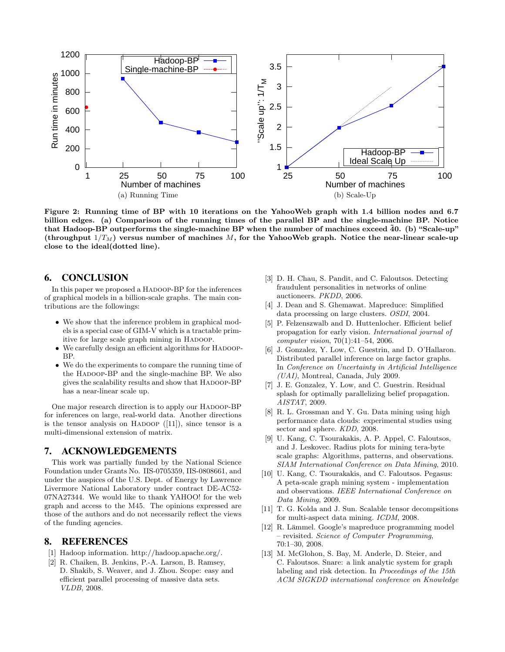

Figure 2: Running time of BP with 10 iterations on the YahooWeb graph with 1.4 billion nodes and 6.7 billion edges. (a) Comparison of the running times of the parallel BP and the single-machine BP. Notice that Hadoop-BP outperforms the single-machine BP when the number of machines exceed  $40.$  (b) "Scale-up" (throughput  $1/T_M$ ) versus number of machines M, for the YahooWeb graph. Notice the near-linear scale-up close to the ideal(dotted line).

## 6. CONCLUSION

In this paper we proposed a HADOOP-BP for the inferences of graphical models in a billion-scale graphs. The main contributions are the followings:

- We show that the inference problem in graphical models is a special case of GIM-V which is a tractable primitive for large scale graph mining in HADOOP.
- We carefully design an efficient algorithms for HADOOP-BP.
- We do the experiments to compare the running time of the Hadoop-BP and the single-machine BP. We also gives the scalability results and show that Hadoop-BP has a near-linear scale up.

One major research direction is to apply our HADOOP-BP for inferences on large, real-world data. Another directions is the tensor analysis on HADOOP  $([11])$ , since tensor is a multi-dimensional extension of matrix.

## 7. ACKNOWLEDGEMENTS

This work was partially funded by the National Science Foundation under Grants No. IIS-0705359, IIS-0808661, and under the auspices of the U.S. Dept. of Energy by Lawrence Livermore National Laboratory under contract DE-AC52- 07NA27344. We would like to thank YAHOO! for the web graph and access to the M45. The opinions expressed are those of the authors and do not necessarily reflect the views of the funding agencies.

# 8. REFERENCES

- [1] Hadoop information. http://hadoop.apache.org/.
- [2] R. Chaiken, B. Jenkins, P.-A. Larson, B. Ramsey, D. Shakib, S. Weaver, and J. Zhou. Scope: easy and efficient parallel processing of massive data sets. VLDB, 2008.
- [3] D. H. Chau, S. Pandit, and C. Faloutsos. Detecting fraudulent personalities in networks of online auctioneers. PKDD, 2006.
- [4] J. Dean and S. Ghemawat. Mapreduce: Simplified data processing on large clusters. OSDI, 2004.
- [5] P. Felzenszwalb and D. Huttenlocher. Efficient belief propagation for early vision. International journal of computer vision, 70(1):41–54, 2006.
- [6] J. Gonzalez, Y. Low, C. Guestrin, and D. O'Hallaron. Distributed parallel inference on large factor graphs. In Conference on Uncertainty in Artificial Intelligence (UAI), Montreal, Canada, July 2009.
- [7] J. E. Gonzalez, Y. Low, and C. Guestrin. Residual splash for optimally parallelizing belief propagation. AISTAT, 2009.
- [8] R. L. Grossman and Y. Gu. Data mining using high performance data clouds: experimental studies using sector and sphere. KDD, 2008.
- [9] U. Kang, C. Tsourakakis, A. P. Appel, C. Faloutsos, and J. Leskovec. Radius plots for mining tera-byte scale graphs: Algorithms, patterns, and observations. SIAM International Conference on Data Mining, 2010.
- [10] U. Kang, C. Tsourakakis, and C. Faloutsos. Pegasus: A peta-scale graph mining system - implementation and observations. IEEE International Conference on Data Mining, 2009.
- [11] T. G. Kolda and J. Sun. Scalable tensor decompsitions for multi-aspect data mining. ICDM, 2008.
- [12] R. Lämmel. Google's mapreduce programming model – revisited. Science of Computer Programming, 70:1–30, 2008.
- [13] M. McGlohon, S. Bay, M. Anderle, D. Steier, and C. Faloutsos. Snare: a link analytic system for graph labeling and risk detection. In Proceedings of the 15th ACM SIGKDD international conference on Knowledge